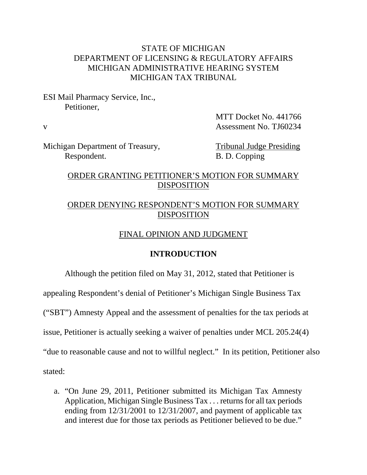## STATE OF MICHIGAN DEPARTMENT OF LICENSING & REGULATORY AFFAIRS MICHIGAN ADMINISTRATIVE HEARING SYSTEM MICHIGAN TAX TRIBUNAL

ESI Mail Pharmacy Service, Inc., Petitioner,

 MTT Docket No. 441766 v Assessment No. TJ60234

Michigan Department of Treasury, Tribunal Judge Presiding Respondent. B. D. Copping

# ORDER GRANTING PETITIONER'S MOTION FOR SUMMARY DISPOSITION

# ORDER DENYING RESPONDENT'S MOTION FOR SUMMARY DISPOSITION

## FINAL OPINION AND JUDGMENT

## **INTRODUCTION**

Although the petition filed on May 31, 2012, stated that Petitioner is

appealing Respondent's denial of Petitioner's Michigan Single Business Tax

("SBT") Amnesty Appeal and the assessment of penalties for the tax periods at

issue, Petitioner is actually seeking a waiver of penalties under MCL 205.24(4)

"due to reasonable cause and not to willful neglect." In its petition, Petitioner also

stated:

a. "On June 29, 2011, Petitioner submitted its Michigan Tax Amnesty Application, Michigan Single Business Tax . . . returns for all tax periods ending from 12/31/2001 to 12/31/2007, and payment of applicable tax and interest due for those tax periods as Petitioner believed to be due."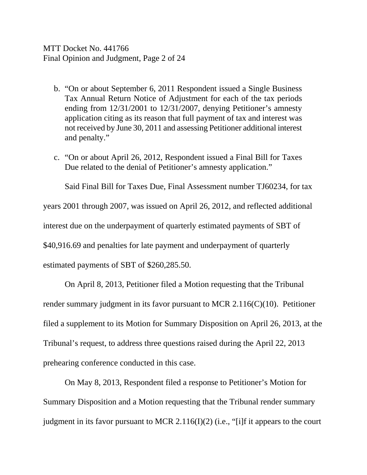MTT Docket No. 441766 Final Opinion and Judgment, Page 2 of 24

- b. "On or about September 6, 2011 Respondent issued a Single Business Tax Annual Return Notice of Adjustment for each of the tax periods ending from 12/31/2001 to 12/31/2007, denying Petitioner's amnesty application citing as its reason that full payment of tax and interest was not received by June 30, 2011 and assessing Petitioner additional interest and penalty."
- c. "On or about April 26, 2012, Respondent issued a Final Bill for Taxes Due related to the denial of Petitioner's amnesty application."

Said Final Bill for Taxes Due, Final Assessment number TJ60234, for tax

years 2001 through 2007, was issued on April 26, 2012, and reflected additional

interest due on the underpayment of quarterly estimated payments of SBT of

\$40,916.69 and penalties for late payment and underpayment of quarterly

estimated payments of SBT of \$260,285.50.

On April 8, 2013, Petitioner filed a Motion requesting that the Tribunal render summary judgment in its favor pursuant to MCR 2.116(C)(10). Petitioner filed a supplement to its Motion for Summary Disposition on April 26, 2013, at the Tribunal's request, to address three questions raised during the April 22, 2013 prehearing conference conducted in this case.

On May 8, 2013, Respondent filed a response to Petitioner's Motion for Summary Disposition and a Motion requesting that the Tribunal render summary judgment in its favor pursuant to MCR 2.116(I)(2) (i.e., "[i]f it appears to the court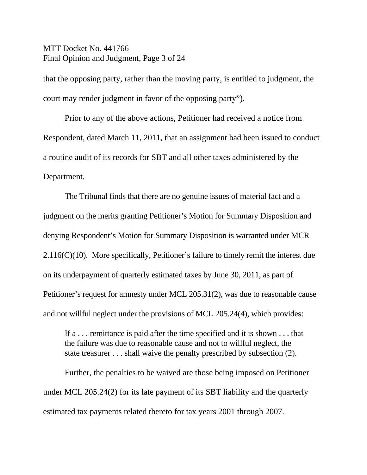MTT Docket No. 441766 Final Opinion and Judgment, Page 3 of 24

that the opposing party, rather than the moving party, is entitled to judgment, the court may render judgment in favor of the opposing party").

Prior to any of the above actions, Petitioner had received a notice from Respondent, dated March 11, 2011, that an assignment had been issued to conduct a routine audit of its records for SBT and all other taxes administered by the Department.

The Tribunal finds that there are no genuine issues of material fact and a judgment on the merits granting Petitioner's Motion for Summary Disposition and denying Respondent's Motion for Summary Disposition is warranted under MCR 2.116(C)(10). More specifically, Petitioner's failure to timely remit the interest due on its underpayment of quarterly estimated taxes by June 30, 2011, as part of Petitioner's request for amnesty under MCL 205.31(2), was due to reasonable cause and not willful neglect under the provisions of MCL 205.24(4), which provides:

If a . . . remittance is paid after the time specified and it is shown . . . that the failure was due to reasonable cause and not to willful neglect, the state treasurer . . . shall waive the penalty prescribed by subsection (2).

Further, the penalties to be waived are those being imposed on Petitioner under MCL 205.24(2) for its late payment of its SBT liability and the quarterly estimated tax payments related thereto for tax years 2001 through 2007.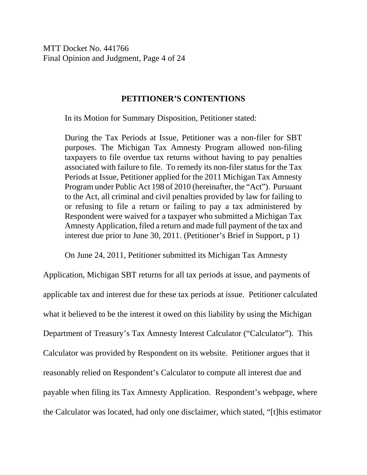MTT Docket No. 441766 Final Opinion and Judgment, Page 4 of 24

#### **PETITIONER'S CONTENTIONS**

In its Motion for Summary Disposition, Petitioner stated:

During the Tax Periods at Issue, Petitioner was a non-filer for SBT purposes. The Michigan Tax Amnesty Program allowed non-filing taxpayers to file overdue tax returns without having to pay penalties associated with failure to file. To remedy its non-filer status for the Tax Periods at Issue, Petitioner applied for the 2011 Michigan Tax Amnesty Program under Public Act 198 of 2010 (hereinafter, the "Act"). Pursuant to the Act, all criminal and civil penalties provided by law for failing to or refusing to file a return or failing to pay a tax administered by Respondent were waived for a taxpayer who submitted a Michigan Tax Amnesty Application, filed a return and made full payment of the tax and interest due prior to June 30, 2011. (Petitioner's Brief in Support, p 1)

On June 24, 2011, Petitioner submitted its Michigan Tax Amnesty

Application, Michigan SBT returns for all tax periods at issue, and payments of applicable tax and interest due for these tax periods at issue. Petitioner calculated what it believed to be the interest it owed on this liability by using the Michigan Department of Treasury's Tax Amnesty Interest Calculator ("Calculator"). This Calculator was provided by Respondent on its website. Petitioner argues that it reasonably relied on Respondent's Calculator to compute all interest due and payable when filing its Tax Amnesty Application. Respondent's webpage, where the Calculator was located, had only one disclaimer, which stated, "[t]his estimator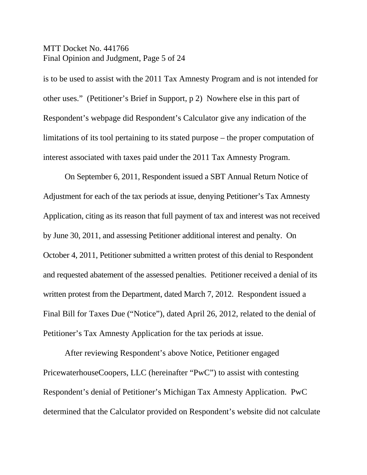MTT Docket No. 441766 Final Opinion and Judgment, Page 5 of 24

is to be used to assist with the 2011 Tax Amnesty Program and is not intended for other uses." (Petitioner's Brief in Support, p 2) Nowhere else in this part of Respondent's webpage did Respondent's Calculator give any indication of the limitations of its tool pertaining to its stated purpose – the proper computation of interest associated with taxes paid under the 2011 Tax Amnesty Program.

On September 6, 2011, Respondent issued a SBT Annual Return Notice of Adjustment for each of the tax periods at issue, denying Petitioner's Tax Amnesty Application, citing as its reason that full payment of tax and interest was not received by June 30, 2011, and assessing Petitioner additional interest and penalty. On October 4, 2011, Petitioner submitted a written protest of this denial to Respondent and requested abatement of the assessed penalties. Petitioner received a denial of its written protest from the Department, dated March 7, 2012. Respondent issued a Final Bill for Taxes Due ("Notice"), dated April 26, 2012, related to the denial of Petitioner's Tax Amnesty Application for the tax periods at issue.

After reviewing Respondent's above Notice, Petitioner engaged PricewaterhouseCoopers, LLC (hereinafter "PwC") to assist with contesting Respondent's denial of Petitioner's Michigan Tax Amnesty Application. PwC determined that the Calculator provided on Respondent's website did not calculate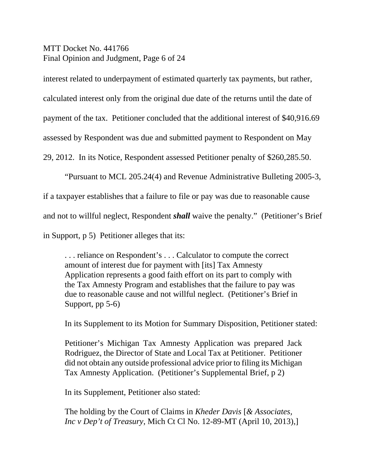MTT Docket No. 441766 Final Opinion and Judgment, Page 6 of 24

interest related to underpayment of estimated quarterly tax payments, but rather,

calculated interest only from the original due date of the returns until the date of

payment of the tax. Petitioner concluded that the additional interest of \$40,916.69

assessed by Respondent was due and submitted payment to Respondent on May

29, 2012. In its Notice, Respondent assessed Petitioner penalty of \$260,285.50.

"Pursuant to MCL 205.24(4) and Revenue Administrative Bulleting 2005-3,

if a taxpayer establishes that a failure to file or pay was due to reasonable cause

and not to willful neglect, Respondent *shall* waive the penalty." (Petitioner's Brief

in Support, p 5) Petitioner alleges that its:

. . . reliance on Respondent's . . . Calculator to compute the correct amount of interest due for payment with [its] Tax Amnesty Application represents a good faith effort on its part to comply with the Tax Amnesty Program and establishes that the failure to pay was due to reasonable cause and not willful neglect. (Petitioner's Brief in Support, pp 5-6)

In its Supplement to its Motion for Summary Disposition, Petitioner stated:

Petitioner's Michigan Tax Amnesty Application was prepared Jack Rodriguez, the Director of State and Local Tax at Petitioner. Petitioner did not obtain any outside professional advice prior to filing its Michigan Tax Amnesty Application. (Petitioner's Supplemental Brief, p 2)

In its Supplement, Petitioner also stated:

The holding by the Court of Claims in *Kheder Davis* [*& Associates, Inc v Dep't of Treasury*, Mich Ct Cl No. 12-89-MT (April 10, 2013),]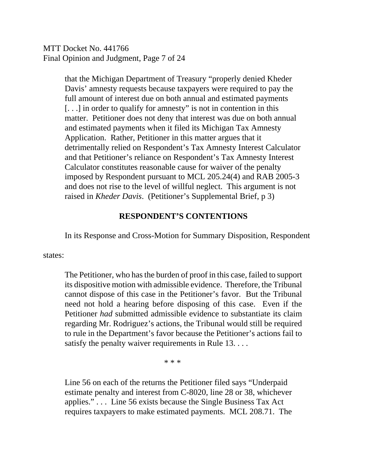MTT Docket No. 441766 Final Opinion and Judgment, Page 7 of 24

> that the Michigan Department of Treasury "properly denied Kheder Davis' amnesty requests because taxpayers were required to pay the full amount of interest due on both annual and estimated payments [. . .] in order to qualify for amnesty" is not in contention in this matter. Petitioner does not deny that interest was due on both annual and estimated payments when it filed its Michigan Tax Amnesty Application. Rather, Petitioner in this matter argues that it detrimentally relied on Respondent's Tax Amnesty Interest Calculator and that Petitioner's reliance on Respondent's Tax Amnesty Interest Calculator constitutes reasonable cause for waiver of the penalty imposed by Respondent pursuant to MCL 205.24(4) and RAB 2005-3 and does not rise to the level of willful neglect. This argument is not raised in *Kheder Davis*. (Petitioner's Supplemental Brief, p 3)

### **RESPONDENT'S CONTENTIONS**

In its Response and Cross-Motion for Summary Disposition, Respondent

states:

The Petitioner, who has the burden of proof in this case, failed to support its dispositive motion with admissible evidence. Therefore, the Tribunal cannot dispose of this case in the Petitioner's favor. But the Tribunal need not hold a hearing before disposing of this case. Even if the Petitioner *had* submitted admissible evidence to substantiate its claim regarding Mr. Rodriguez's actions, the Tribunal would still be required to rule in the Department's favor because the Petitioner's actions fail to satisfy the penalty waiver requirements in Rule 13. . . .

\* \* \*

Line 56 on each of the returns the Petitioner filed says "Underpaid estimate penalty and interest from C-8020, line 28 or 38, whichever applies." . . . Line 56 exists because the Single Business Tax Act requires taxpayers to make estimated payments. MCL 208.71. The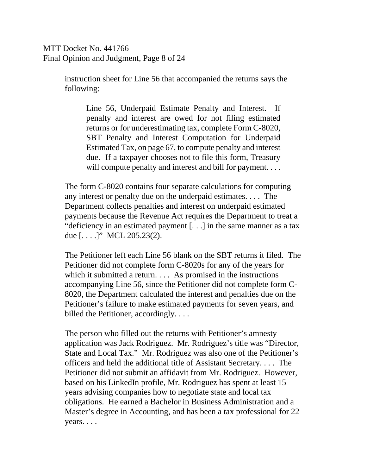MTT Docket No. 441766 Final Opinion and Judgment, Page 8 of 24

> instruction sheet for Line 56 that accompanied the returns says the following:

Line 56, Underpaid Estimate Penalty and Interest. If penalty and interest are owed for not filing estimated returns or for underestimating tax, complete Form C-8020, SBT Penalty and Interest Computation for Underpaid Estimated Tax, on page 67, to compute penalty and interest due. If a taxpayer chooses not to file this form, Treasury will compute penalty and interest and bill for payment....

The form C-8020 contains four separate calculations for computing any interest or penalty due on the underpaid estimates. . . . The Department collects penalties and interest on underpaid estimated payments because the Revenue Act requires the Department to treat a "deficiency in an estimated payment [. . .] in the same manner as a tax due [. . . .]" MCL 205.23(2).

The Petitioner left each Line 56 blank on the SBT returns it filed. The Petitioner did not complete form C-8020s for any of the years for which it submitted a return. . . . As promised in the instructions accompanying Line 56, since the Petitioner did not complete form C-8020, the Department calculated the interest and penalties due on the Petitioner's failure to make estimated payments for seven years, and billed the Petitioner, accordingly....

The person who filled out the returns with Petitioner's amnesty application was Jack Rodriguez. Mr. Rodriguez's title was "Director, State and Local Tax." Mr. Rodriguez was also one of the Petitioner's officers and held the additional title of Assistant Secretary. . . . The Petitioner did not submit an affidavit from Mr. Rodriguez. However, based on his LinkedIn profile, Mr. Rodriguez has spent at least 15 years advising companies how to negotiate state and local tax obligations. He earned a Bachelor in Business Administration and a Master's degree in Accounting, and has been a tax professional for 22 years. . . .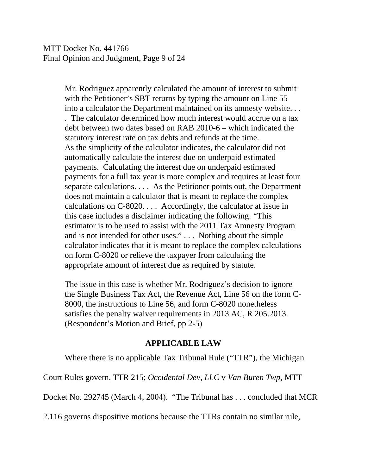MTT Docket No. 441766 Final Opinion and Judgment, Page 9 of 24

> Mr. Rodriguez apparently calculated the amount of interest to submit with the Petitioner's SBT returns by typing the amount on Line 55 into a calculator the Department maintained on its amnesty website. . . . The calculator determined how much interest would accrue on a tax debt between two dates based on RAB 2010-6 – which indicated the statutory interest rate on tax debts and refunds at the time. As the simplicity of the calculator indicates, the calculator did not automatically calculate the interest due on underpaid estimated payments. Calculating the interest due on underpaid estimated payments for a full tax year is more complex and requires at least four separate calculations. . . . As the Petitioner points out, the Department does not maintain a calculator that is meant to replace the complex calculations on C-8020. . . . Accordingly, the calculator at issue in this case includes a disclaimer indicating the following: "This estimator is to be used to assist with the 2011 Tax Amnesty Program and is not intended for other uses." . . . Nothing about the simple calculator indicates that it is meant to replace the complex calculations on form C-8020 or relieve the taxpayer from calculating the appropriate amount of interest due as required by statute.

> The issue in this case is whether Mr. Rodriguez's decision to ignore the Single Business Tax Act, the Revenue Act, Line 56 on the form C-8000, the instructions to Line 56, and form C-8020 nonetheless satisfies the penalty waiver requirements in 2013 AC, R 205.2013. (Respondent's Motion and Brief, pp 2-5)

#### **APPLICABLE LAW**

Where there is no applicable Tax Tribunal Rule ("TTR"), the Michigan

Court Rules govern. TTR 215; *Occidental Dev, LLC* v *Van Buren Twp*, MTT

Docket No. 292745 (March 4, 2004). "The Tribunal has . . . concluded that MCR

2.116 governs dispositive motions because the TTRs contain no similar rule,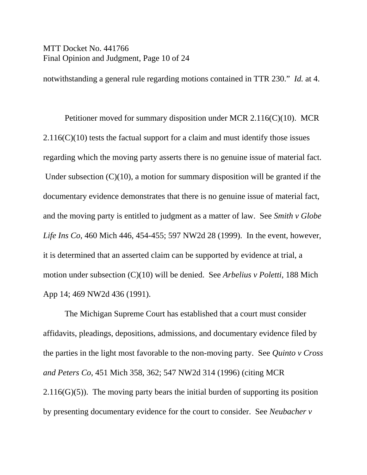#### MTT Docket No. 441766 Final Opinion and Judgment, Page 10 of 24

notwithstanding a general rule regarding motions contained in TTR 230." *Id.* at 4.

Petitioner moved for summary disposition under MCR 2.116(C)(10). MCR  $2.116(C)(10)$  tests the factual support for a claim and must identify those issues regarding which the moving party asserts there is no genuine issue of material fact. Under subsection  $(C)(10)$ , a motion for summary disposition will be granted if the documentary evidence demonstrates that there is no genuine issue of material fact, and the moving party is entitled to judgment as a matter of law. See *Smith v Globe Life Ins Co*, 460 Mich 446, 454-455; 597 NW2d 28 (1999). In the event, however, it is determined that an asserted claim can be supported by evidence at trial, a motion under subsection (C)(10) will be denied. See *Arbelius v Poletti*, 188 Mich App 14; 469 NW2d 436 (1991).

The Michigan Supreme Court has established that a court must consider affidavits, pleadings, depositions, admissions, and documentary evidence filed by the parties in the light most favorable to the non-moving party. See *Quinto v Cross and Peters Co*, 451 Mich 358, 362; 547 NW2d 314 (1996) (citing MCR  $2.116(G)(5)$ ). The moving party bears the initial burden of supporting its position by presenting documentary evidence for the court to consider. See *Neubacher v*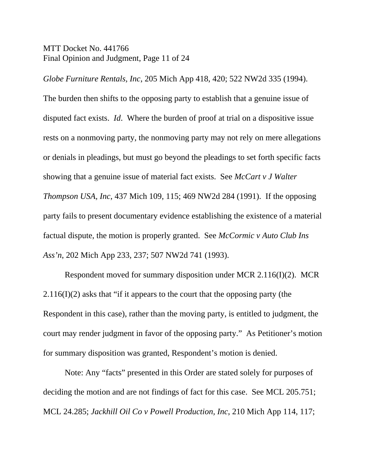#### MTT Docket No. 441766 Final Opinion and Judgment, Page 11 of 24

*Globe Furniture Rentals, Inc*, 205 Mich App 418, 420; 522 NW2d 335 (1994).

The burden then shifts to the opposing party to establish that a genuine issue of disputed fact exists. *Id*. Where the burden of proof at trial on a dispositive issue rests on a nonmoving party, the nonmoving party may not rely on mere allegations or denials in pleadings, but must go beyond the pleadings to set forth specific facts showing that a genuine issue of material fact exists. See *McCart v J Walter Thompson USA, Inc*, 437 Mich 109, 115; 469 NW2d 284 (1991). If the opposing party fails to present documentary evidence establishing the existence of a material factual dispute, the motion is properly granted. See *McCormic v Auto Club Ins Ass'n*, 202 Mich App 233, 237; 507 NW2d 741 (1993).

Respondent moved for summary disposition under MCR 2.116(I)(2). MCR 2.116(I)(2) asks that "if it appears to the court that the opposing party (the Respondent in this case), rather than the moving party, is entitled to judgment, the court may render judgment in favor of the opposing party." As Petitioner's motion for summary disposition was granted, Respondent's motion is denied.

Note: Any "facts" presented in this Order are stated solely for purposes of deciding the motion and are not findings of fact for this case. See MCL 205.751; MCL 24.285; *Jackhill Oil Co v Powell Production, Inc*, 210 Mich App 114, 117;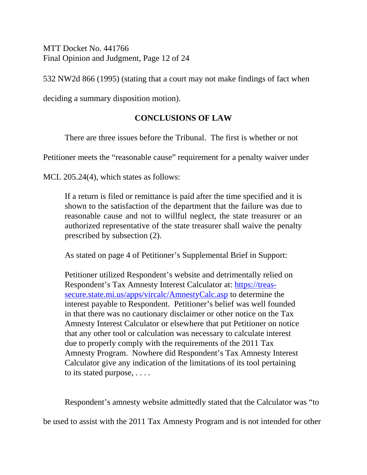MTT Docket No. 441766 Final Opinion and Judgment, Page 12 of 24

532 NW2d 866 (1995) (stating that a court may not make findings of fact when

deciding a summary disposition motion).

# **CONCLUSIONS OF LAW**

There are three issues before the Tribunal. The first is whether or not

Petitioner meets the "reasonable cause" requirement for a penalty waiver under

MCL 205.24(4), which states as follows:

If a return is filed or remittance is paid after the time specified and it is shown to the satisfaction of the department that the failure was due to reasonable cause and not to willful neglect, the state treasurer or an authorized representative of the state treasurer shall waive the penalty prescribed by subsection (2).

As stated on page 4 of Petitioner's Supplemental Brief in Support:

Petitioner utilized Respondent's website and detrimentally relied on Respondent's Tax Amnesty Interest Calculator at: https://treassecure.state.mi.us/apps/vircalc/AmnestyCalc.asp to determine the interest payable to Respondent. Petitioner's belief was well founded in that there was no cautionary disclaimer or other notice on the Tax Amnesty Interest Calculator or elsewhere that put Petitioner on notice that any other tool or calculation was necessary to calculate interest due to properly comply with the requirements of the 2011 Tax Amnesty Program. Nowhere did Respondent's Tax Amnesty Interest Calculator give any indication of the limitations of its tool pertaining to its stated purpose, . . . .

Respondent's amnesty website admittedly stated that the Calculator was "to be used to assist with the 2011 Tax Amnesty Program and is not intended for other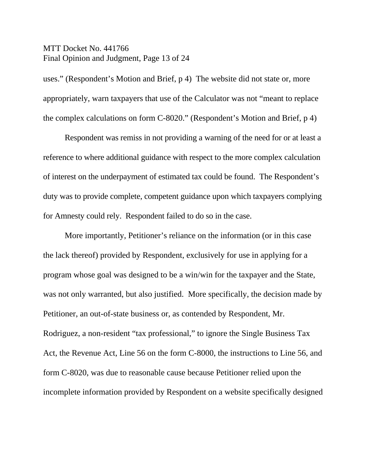#### MTT Docket No. 441766 Final Opinion and Judgment, Page 13 of 24

uses." (Respondent's Motion and Brief, p 4) The website did not state or, more appropriately, warn taxpayers that use of the Calculator was not "meant to replace the complex calculations on form C-8020." (Respondent's Motion and Brief, p 4)

Respondent was remiss in not providing a warning of the need for or at least a reference to where additional guidance with respect to the more complex calculation of interest on the underpayment of estimated tax could be found. The Respondent's duty was to provide complete, competent guidance upon which taxpayers complying for Amnesty could rely. Respondent failed to do so in the case.

More importantly, Petitioner's reliance on the information (or in this case the lack thereof) provided by Respondent, exclusively for use in applying for a program whose goal was designed to be a win/win for the taxpayer and the State, was not only warranted, but also justified. More specifically, the decision made by Petitioner, an out-of-state business or, as contended by Respondent, Mr. Rodriguez, a non-resident "tax professional," to ignore the Single Business Tax Act, the Revenue Act, Line 56 on the form C-8000, the instructions to Line 56, and form C-8020, was due to reasonable cause because Petitioner relied upon the incomplete information provided by Respondent on a website specifically designed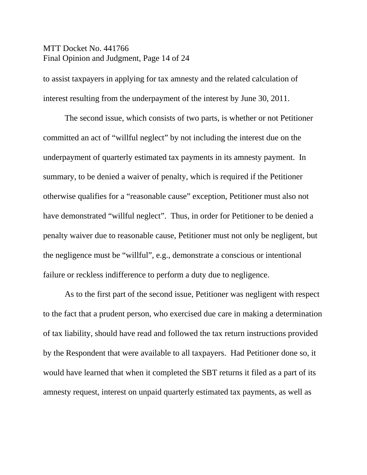### MTT Docket No. 441766 Final Opinion and Judgment, Page 14 of 24

to assist taxpayers in applying for tax amnesty and the related calculation of interest resulting from the underpayment of the interest by June 30, 2011.

The second issue, which consists of two parts, is whether or not Petitioner committed an act of "willful neglect" by not including the interest due on the underpayment of quarterly estimated tax payments in its amnesty payment. In summary, to be denied a waiver of penalty, which is required if the Petitioner otherwise qualifies for a "reasonable cause" exception, Petitioner must also not have demonstrated "willful neglect". Thus, in order for Petitioner to be denied a penalty waiver due to reasonable cause, Petitioner must not only be negligent, but the negligence must be "willful", e.g., demonstrate a conscious or intentional failure or reckless indifference to perform a duty due to negligence.

As to the first part of the second issue, Petitioner was negligent with respect to the fact that a prudent person, who exercised due care in making a determination of tax liability, should have read and followed the tax return instructions provided by the Respondent that were available to all taxpayers. Had Petitioner done so, it would have learned that when it completed the SBT returns it filed as a part of its amnesty request, interest on unpaid quarterly estimated tax payments, as well as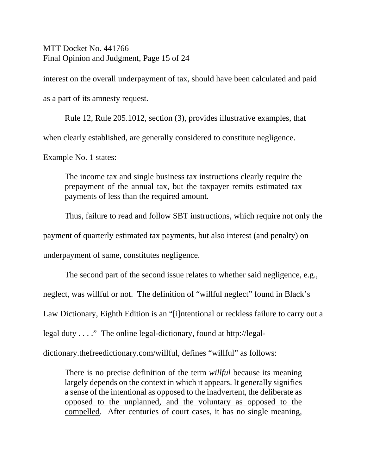MTT Docket No. 441766 Final Opinion and Judgment, Page 15 of 24

interest on the overall underpayment of tax, should have been calculated and paid as a part of its amnesty request.

Rule 12, Rule 205.1012, section (3), provides illustrative examples, that when clearly established, are generally considered to constitute negligence.

Example No. 1 states:

The income tax and single business tax instructions clearly require the prepayment of the annual tax, but the taxpayer remits estimated tax payments of less than the required amount.

Thus, failure to read and follow SBT instructions, which require not only the

payment of quarterly estimated tax payments, but also interest (and penalty) on

underpayment of same, constitutes negligence.

The second part of the second issue relates to whether said negligence, e.g.,

neglect, was willful or not. The definition of "willful neglect" found in Black's

Law Dictionary, Eighth Edition is an "[i]ntentional or reckless failure to carry out a

legal duty . . . ." The online legal-dictionary, found at http://legal-

dictionary.thefreedictionary.com/willful, defines "willful" as follows:

There is no precise definition of the term *willful* because its meaning largely depends on the context in which it appears. It generally signifies a sense of the intentional as opposed to the inadvertent, the deliberate as opposed to the unplanned, and the voluntary as opposed to the compelled. After centuries of court cases, it has no single meaning,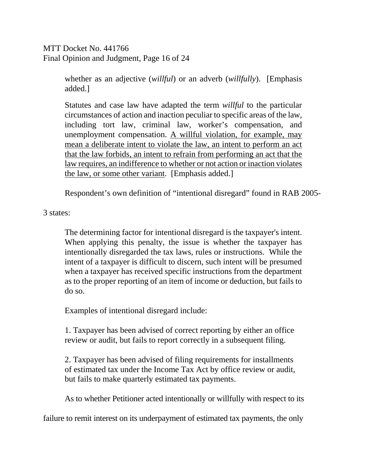MTT Docket No. 441766 Final Opinion and Judgment, Page 16 of 24

> whether as an adjective (*willful*) or an adverb (*willfully*). [Emphasis added.]

> Statutes and case law have adapted the term *willful* to the particular circumstances of action and inaction peculiar to specific areas of the law, including tort law, criminal law, worker's compensation, and unemployment compensation. A willful violation, for example, may mean a deliberate intent to violate the law, an intent to perform an act that the law forbids, an intent to refrain from performing an act that the law requires, an indifference to whether or not action or inaction violates the law, or some other variant. [Emphasis added.]

Respondent's own definition of "intentional disregard" found in RAB 2005-

3 states:

The determining factor for intentional disregard is the taxpayer's intent. When applying this penalty, the issue is whether the taxpayer has intentionally disregarded the tax laws, rules or instructions. While the intent of a taxpayer is difficult to discern, such intent will be presumed when a taxpayer has received specific instructions from the department as to the proper reporting of an item of income or deduction, but fails to do so.

Examples of intentional disregard include:

1. Taxpayer has been advised of correct reporting by either an office review or audit, but fails to report correctly in a subsequent filing.

2. Taxpayer has been advised of filing requirements for installments of estimated tax under the Income Tax Act by office review or audit, but fails to make quarterly estimated tax payments.

As to whether Petitioner acted intentionally or willfully with respect to its

failure to remit interest on its underpayment of estimated tax payments, the only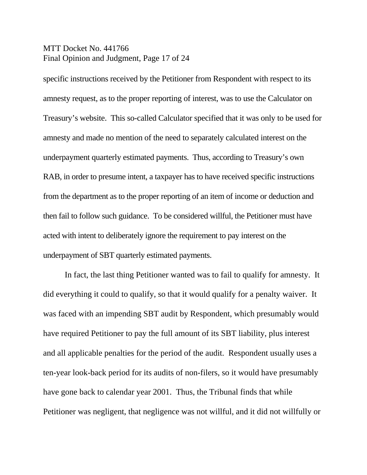### MTT Docket No. 441766 Final Opinion and Judgment, Page 17 of 24

specific instructions received by the Petitioner from Respondent with respect to its amnesty request, as to the proper reporting of interest, was to use the Calculator on Treasury's website. This so-called Calculator specified that it was only to be used for amnesty and made no mention of the need to separately calculated interest on the underpayment quarterly estimated payments. Thus, according to Treasury's own RAB, in order to presume intent, a taxpayer has to have received specific instructions from the department as to the proper reporting of an item of income or deduction and then fail to follow such guidance. To be considered willful, the Petitioner must have acted with intent to deliberately ignore the requirement to pay interest on the underpayment of SBT quarterly estimated payments.

In fact, the last thing Petitioner wanted was to fail to qualify for amnesty. It did everything it could to qualify, so that it would qualify for a penalty waiver. It was faced with an impending SBT audit by Respondent, which presumably would have required Petitioner to pay the full amount of its SBT liability, plus interest and all applicable penalties for the period of the audit. Respondent usually uses a ten-year look-back period for its audits of non-filers, so it would have presumably have gone back to calendar year 2001. Thus, the Tribunal finds that while Petitioner was negligent, that negligence was not willful, and it did not willfully or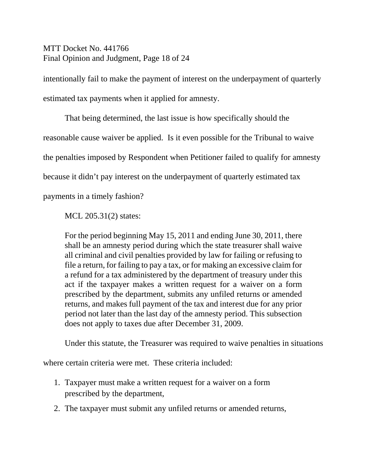MTT Docket No. 441766 Final Opinion and Judgment, Page 18 of 24

intentionally fail to make the payment of interest on the underpayment of quarterly estimated tax payments when it applied for amnesty.

That being determined, the last issue is how specifically should the reasonable cause waiver be applied. Is it even possible for the Tribunal to waive the penalties imposed by Respondent when Petitioner failed to qualify for amnesty because it didn't pay interest on the underpayment of quarterly estimated tax

payments in a timely fashion?

MCL 205.31(2) states:

For the period beginning May 15, 2011 and ending June 30, 2011, there shall be an amnesty period during which the state treasurer shall waive all criminal and civil penalties provided by law for failing or refusing to file a return, for failing to pay a tax, or for making an excessive claim for a refund for a tax administered by the department of treasury under this act if the taxpayer makes a written request for a waiver on a form prescribed by the department, submits any unfiled returns or amended returns, and makes full payment of the tax and interest due for any prior period not later than the last day of the amnesty period. This subsection does not apply to taxes due after December 31, 2009.

Under this statute, the Treasurer was required to waive penalties in situations

where certain criteria were met. These criteria included:

- 1. Taxpayer must make a written request for a waiver on a form prescribed by the department,
- 2. The taxpayer must submit any unfiled returns or amended returns,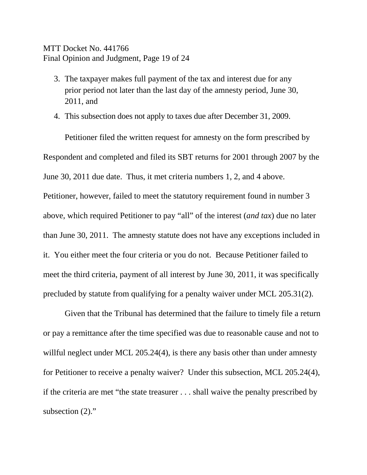### MTT Docket No. 441766 Final Opinion and Judgment, Page 19 of 24

- 3. The taxpayer makes full payment of the tax and interest due for any prior period not later than the last day of the amnesty period, June 30, 2011, and
- 4. This subsection does not apply to taxes due after December 31, 2009.

Petitioner filed the written request for amnesty on the form prescribed by Respondent and completed and filed its SBT returns for 2001 through 2007 by the June 30, 2011 due date. Thus, it met criteria numbers 1, 2, and 4 above. Petitioner, however, failed to meet the statutory requirement found in number 3 above, which required Petitioner to pay "all" of the interest (*and tax*) due no later than June 30, 2011. The amnesty statute does not have any exceptions included in it. You either meet the four criteria or you do not. Because Petitioner failed to meet the third criteria, payment of all interest by June 30, 2011, it was specifically precluded by statute from qualifying for a penalty waiver under MCL 205.31(2).

Given that the Tribunal has determined that the failure to timely file a return or pay a remittance after the time specified was due to reasonable cause and not to willful neglect under MCL 205.24(4), is there any basis other than under amnesty for Petitioner to receive a penalty waiver? Under this subsection, MCL 205.24(4), if the criteria are met "the state treasurer . . . shall waive the penalty prescribed by subsection  $(2)$ ."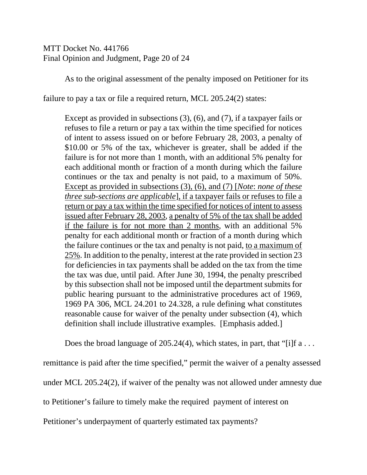MTT Docket No. 441766 Final Opinion and Judgment, Page 20 of 24

As to the original assessment of the penalty imposed on Petitioner for its

failure to pay a tax or file a required return, MCL 205.24(2) states:

Except as provided in subsections (3), (6), and (7), if a taxpayer fails or refuses to file a return or pay a tax within the time specified for notices of intent to assess issued on or before February 28, 2003, a penalty of \$10.00 or 5% of the tax, whichever is greater, shall be added if the failure is for not more than 1 month, with an additional 5% penalty for each additional month or fraction of a month during which the failure continues or the tax and penalty is not paid, to a maximum of 50%. Except as provided in subsections (3), (6), and (7) [*Note*: *none of these three sub-sections are applicable*], if a taxpayer fails or refuses to file a return or pay a tax within the time specified for notices of intent to assess issued after February 28, 2003, a penalty of 5% of the tax shall be added if the failure is for not more than 2 months, with an additional 5% penalty for each additional month or fraction of a month during which the failure continues or the tax and penalty is not paid, to a maximum of 25%. In addition to the penalty, interest at the rate provided in section 23 for deficiencies in tax payments shall be added on the tax from the time the tax was due, until paid. After June 30, 1994, the penalty prescribed by this subsection shall not be imposed until the department submits for public hearing pursuant to the administrative procedures act of 1969, 1969 PA 306, MCL 24.201 to 24.328, a rule defining what constitutes reasonable cause for waiver of the penalty under subsection (4), which definition shall include illustrative examples. [Emphasis added.]

Does the broad language of 205.24(4), which states, in part, that "[i]f  $a \dots$ 

remittance is paid after the time specified," permit the waiver of a penalty assessed

under MCL 205.24(2), if waiver of the penalty was not allowed under amnesty due

to Petitioner's failure to timely make the required payment of interest on

Petitioner's underpayment of quarterly estimated tax payments?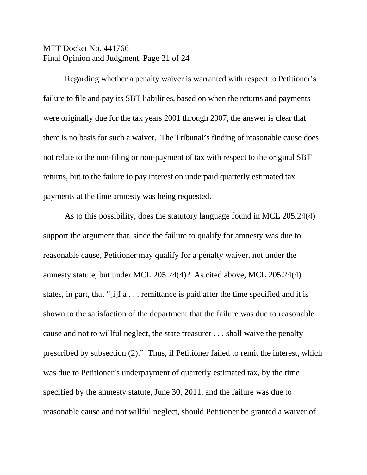### MTT Docket No. 441766 Final Opinion and Judgment, Page 21 of 24

Regarding whether a penalty waiver is warranted with respect to Petitioner's failure to file and pay its SBT liabilities, based on when the returns and payments were originally due for the tax years 2001 through 2007, the answer is clear that there is no basis for such a waiver. The Tribunal's finding of reasonable cause does not relate to the non-filing or non-payment of tax with respect to the original SBT returns, but to the failure to pay interest on underpaid quarterly estimated tax payments at the time amnesty was being requested.

As to this possibility, does the statutory language found in MCL 205.24(4) support the argument that, since the failure to qualify for amnesty was due to reasonable cause, Petitioner may qualify for a penalty waiver, not under the amnesty statute, but under MCL 205.24(4)? As cited above, MCL 205.24(4) states, in part, that "[i]f a . . . remittance is paid after the time specified and it is shown to the satisfaction of the department that the failure was due to reasonable cause and not to willful neglect, the state treasurer . . . shall waive the penalty prescribed by subsection (2)." Thus, if Petitioner failed to remit the interest, which was due to Petitioner's underpayment of quarterly estimated tax, by the time specified by the amnesty statute, June 30, 2011, and the failure was due to reasonable cause and not willful neglect, should Petitioner be granted a waiver of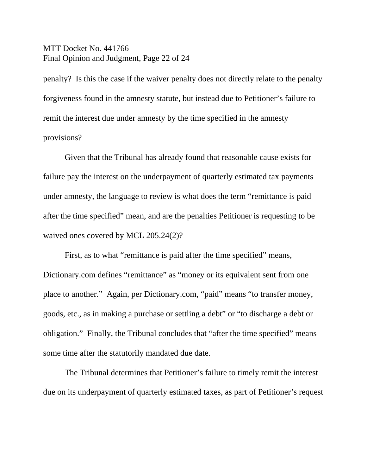#### MTT Docket No. 441766 Final Opinion and Judgment, Page 22 of 24

penalty? Is this the case if the waiver penalty does not directly relate to the penalty forgiveness found in the amnesty statute, but instead due to Petitioner's failure to remit the interest due under amnesty by the time specified in the amnesty provisions?

Given that the Tribunal has already found that reasonable cause exists for failure pay the interest on the underpayment of quarterly estimated tax payments under amnesty, the language to review is what does the term "remittance is paid after the time specified" mean, and are the penalties Petitioner is requesting to be waived ones covered by MCL 205.24(2)?

First, as to what "remittance is paid after the time specified" means, Dictionary.com defines "remittance" as "money or its equivalent sent from one place to another." Again, per Dictionary.com, "paid" means "to transfer money, goods, etc., as in making a purchase or settling a debt" or "to discharge a debt or obligation." Finally, the Tribunal concludes that "after the time specified" means some time after the statutorily mandated due date.

The Tribunal determines that Petitioner's failure to timely remit the interest due on its underpayment of quarterly estimated taxes, as part of Petitioner's request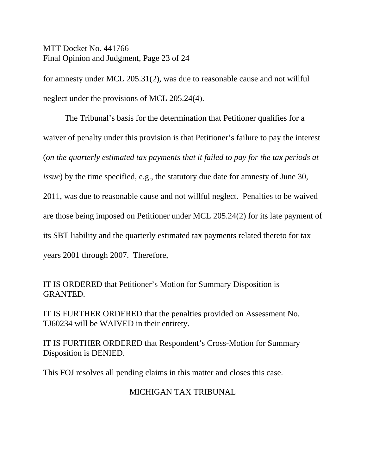MTT Docket No. 441766 Final Opinion and Judgment, Page 23 of 24

for amnesty under MCL 205.31(2), was due to reasonable cause and not willful neglect under the provisions of MCL 205.24(4).

The Tribunal's basis for the determination that Petitioner qualifies for a waiver of penalty under this provision is that Petitioner's failure to pay the interest (*on the quarterly estimated tax payments that it failed to pay for the tax periods at issue*) by the time specified, e.g., the statutory due date for amnesty of June 30, 2011, was due to reasonable cause and not willful neglect. Penalties to be waived are those being imposed on Petitioner under MCL 205.24(2) for its late payment of its SBT liability and the quarterly estimated tax payments related thereto for tax years 2001 through 2007. Therefore,

IT IS ORDERED that Petitioner's Motion for Summary Disposition is GRANTED.

IT IS FURTHER ORDERED that the penalties provided on Assessment No. TJ60234 will be WAIVED in their entirety.

IT IS FURTHER ORDERED that Respondent's Cross-Motion for Summary Disposition is DENIED.

This FOJ resolves all pending claims in this matter and closes this case.

# MICHIGAN TAX TRIBUNAL